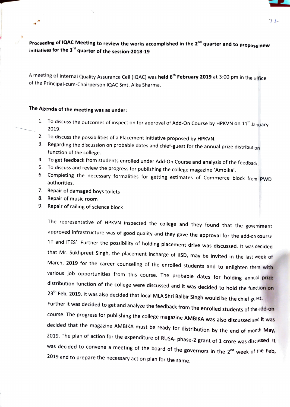コレ

Proceeding of IQAC Meeting to review the works accomplished in the 2<sup>nd</sup> quarter and to propose new initiatives for the  $3<sup>rd</sup>$  quarter of the session-2018-19

A meeting of Internal Quality Assurance Cell (IQAC) was held 6<sup>th</sup> February 2019 at 3:00 pm in the office of the Principal-cum-Chairperson IQAC Smt. Alka Sharma.

## The Agenda of the meeting was as under:

- 1. To discuss the outcomes of inspection for approval of Add-On Course by HPKVN on  $11<sup>th</sup>$  January 2019.
- 2. To discuss the possibilities of a Placement Initiative proposed by HPKVN.
- 3. Regarding the discussion on probable dates and chief-guest for the annual prize distribution function of the college.
- 4. To get feedback from students enrolled under Add-On Course and analysis of the feedback.
- 5. To discuss and review the progress for publishing the college magazine 'Ambika'.
- 6. Completing the necessary formalities for getting estimates of Commerce block from PWD authorities.
- 7. Repair of damaged boys toilets
- 8. Repair of music room
- 9. Repair of railing of science block

The representative of HPKVN inspected the college and they found that the government approved infrastructure was of good quality and they gave the approval for the add-on course 'IT and ITES'. Further the possibility of holding placement drive was discussed. It was decided that Mr. Sukhpreet Singh, the placement incharge of lISD, may be invited in the last week of March, 2019 for the career counseling of the enrolled students and to enlighten them with<br>various job opportunities from this course. The probable dates for holding annual prize distribution function of the college were discussed and it was decided to hold the function on<br>23<sup>th</sup> Feb, 2019. It was also decided that local MLA Shri Balbir Singh would be the chief guest.

Further it was decided to get and analyze the feedback from the enrolled students of the add-on course. The progress for publishing the college magazine AMBIKA was also discussed and it was<br>decided that the magazine AMBIKA must be ready for distribution by the end of month May, 2019. The plan of action for the expenditure of RUSA- phase-2 grant of 1 crore was discussed. It was decided to convene a meeting of the board of the governors in the  $2^{nd}$  week of the Feb, 2019 and to prepare the necessary action plan for the same.